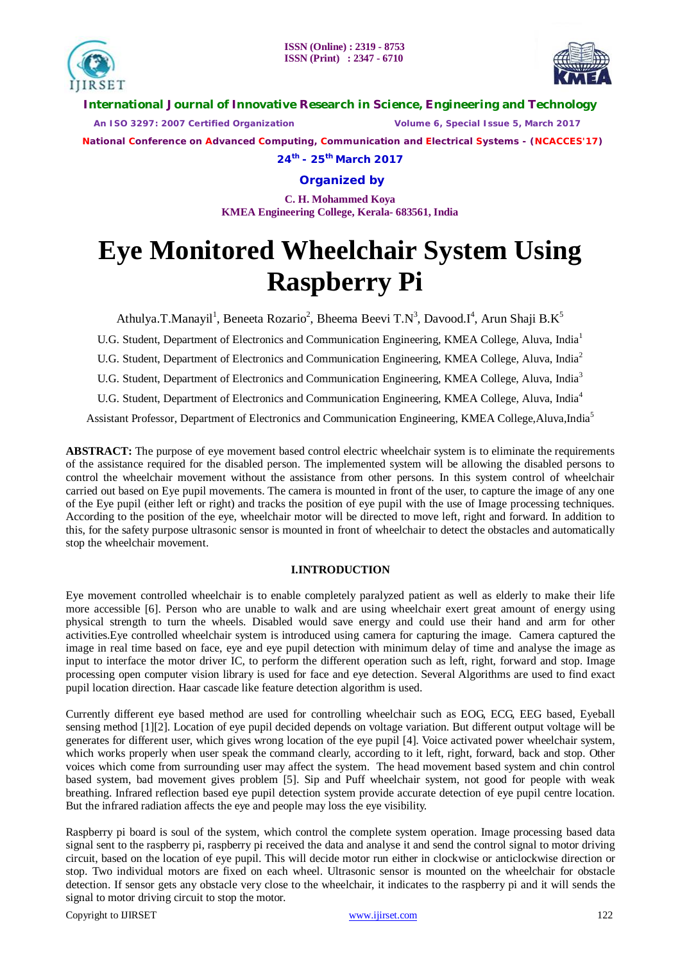



**International Journal of Innovative Research in Science, Engineering and Technology**

 *An ISO 3297: 2007 Certified Organization Volume 6, Special Issue 5, March 2017*

 **National Conference on Advanced Computing, Communication and Electrical Systems - (NCACCES'17)**

**24th - 25th March 2017**

**Organized by**

**C. H. Mohammed Koya KMEA Engineering College, Kerala- 683561, India** 

# **Eye Monitored Wheelchair System Using Raspberry Pi**

Athulya.T.Manayil<sup>1</sup>, Beneeta Rozario<sup>2</sup>, Bheema Beevi T.N<sup>3</sup>, Davood.I<sup>4</sup>, Arun Shaji B.K<sup>5</sup>

U.G. Student, Department of Electronics and Communication Engineering, KMEA College, Aluva, India<sup>1</sup>

U.G. Student, Department of Electronics and Communication Engineering, KMEA College, Aluva, India<sup>2</sup>

U.G. Student, Department of Electronics and Communication Engineering, KMEA College, Aluva, India<sup>3</sup>

U.G. Student, Department of Electronics and Communication Engineering, KMEA College, Aluva, India<sup>4</sup>

Assistant Professor, Department of Electronics and Communication Engineering, KMEA College,Aluva,India<sup>5</sup>

**ABSTRACT:** The purpose of eye movement based control electric wheelchair system is to eliminate the requirements of the assistance required for the disabled person. The implemented system will be allowing the disabled persons to control the wheelchair movement without the assistance from other persons. In this system control of wheelchair carried out based on Eye pupil movements. The camera is mounted in front of the user, to capture the image of any one of the Eye pupil (either left or right) and tracks the position of eye pupil with the use of Image processing techniques. According to the position of the eye, wheelchair motor will be directed to move left, right and forward. In addition to this, for the safety purpose ultrasonic sensor is mounted in front of wheelchair to detect the obstacles and automatically stop the wheelchair movement.

# **I.INTRODUCTION**

Eye movement controlled wheelchair is to enable completely paralyzed patient as well as elderly to make their life more accessible [6]. Person who are unable to walk and are using wheelchair exert great amount of energy using physical strength to turn the wheels. Disabled would save energy and could use their hand and arm for other activities.Eye controlled wheelchair system is introduced using camera for capturing the image. Camera captured the image in real time based on face, eye and eye pupil detection with minimum delay of time and analyse the image as input to interface the motor driver IC, to perform the different operation such as left, right, forward and stop. Image processing open computer vision library is used for face and eye detection. Several Algorithms are used to find exact pupil location direction. Haar cascade like feature detection algorithm is used.

Currently different eye based method are used for controlling wheelchair such as EOG, ECG, EEG based, Eyeball sensing method [1][2]. Location of eye pupil decided depends on voltage variation. But different output voltage will be generates for different user, which gives wrong location of the eye pupil [4]. Voice activated power wheelchair system, which works properly when user speak the command clearly, according to it left, right, forward, back and stop. Other voices which come from surrounding user may affect the system. The head movement based system and chin control based system, bad movement gives problem [5]. Sip and Puff wheelchair system, not good for people with weak breathing. Infrared reflection based eye pupil detection system provide accurate detection of eye pupil centre location. But the infrared radiation affects the eye and people may loss the eye visibility.

Raspberry pi board is soul of the system, which control the complete system operation. Image processing based data signal sent to the raspberry pi, raspberry pi received the data and analyse it and send the control signal to motor driving circuit, based on the location of eye pupil. This will decide motor run either in clockwise or anticlockwise direction or stop. Two individual motors are fixed on each wheel. Ultrasonic sensor is mounted on the wheelchair for obstacle detection. If sensor gets any obstacle very close to the wheelchair, it indicates to the raspberry pi and it will sends the signal to motor driving circuit to stop the motor.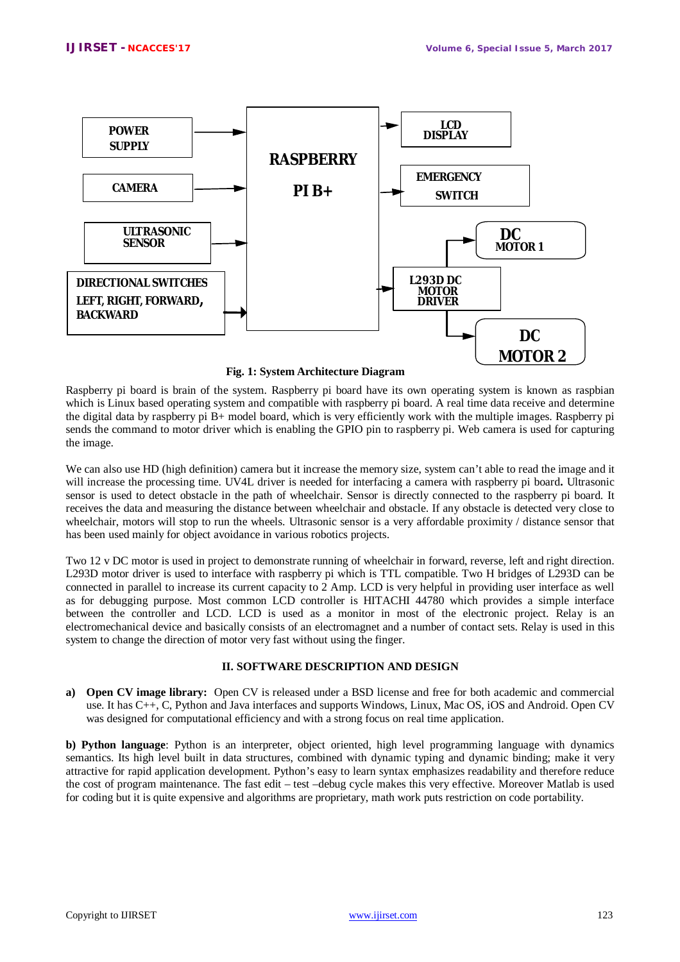

**Fig. 1: System Architecture Diagram**

Raspberry pi board is brain of the system. Raspberry pi board have its own operating system is known as raspbian which is Linux based operating system and compatible with raspberry pi board. A real time data receive and determine the digital data by raspberry pi B+ model board, which is very efficiently work with the multiple images. Raspberry pi sends the command to motor driver which is enabling the GPIO pin to raspberry pi. Web camera is used for capturing the image.

We can also use HD (high definition) camera but it increase the memory size, system can't able to read the image and it will increase the processing time. UV4L driver is needed for interfacing a camera with raspberry pi board**.** Ultrasonic sensor is used to detect obstacle in the path of wheelchair. Sensor is directly connected to the raspberry pi board. It receives the data and measuring the distance between wheelchair and obstacle. If any obstacle is detected very close to wheelchair, motors will stop to run the wheels. Ultrasonic sensor is a very affordable proximity / distance sensor that has been used mainly for object avoidance in various robotics projects.

Two 12 v DC motor is used in project to demonstrate running of wheelchair in forward, reverse, left and right direction. L293D motor driver is used to interface with raspberry pi which is TTL compatible. Two H bridges of L293D can be connected in parallel to increase its current capacity to 2 Amp. LCD is very helpful in providing user interface as well as for debugging purpose. Most common LCD controller is HITACHI 44780 which provides a simple interface between the controller and LCD. LCD is used as a monitor in most of the electronic project. Relay is an electromechanical device and basically consists of an electromagnet and a number of contact sets. Relay is used in this system to change the direction of motor very fast without using the finger.

## **II. SOFTWARE DESCRIPTION AND DESIGN**

**a) Open CV image library:** Open CV is released under a BSD license and free for both academic and commercial use. It has C++, C, Python and Java interfaces and supports Windows, Linux, Mac OS, iOS and Android. Open CV was designed for computational efficiency and with a strong focus on real time application.

**b) Python language**: Python is an interpreter, object oriented, high level programming language with dynamics semantics. Its high level built in data structures, combined with dynamic typing and dynamic binding; make it very attractive for rapid application development. Python's easy to learn syntax emphasizes readability and therefore reduce the cost of program maintenance. The fast edit – test –debug cycle makes this very effective. Moreover Matlab is used for coding but it is quite expensive and algorithms are proprietary, math work puts restriction on code portability.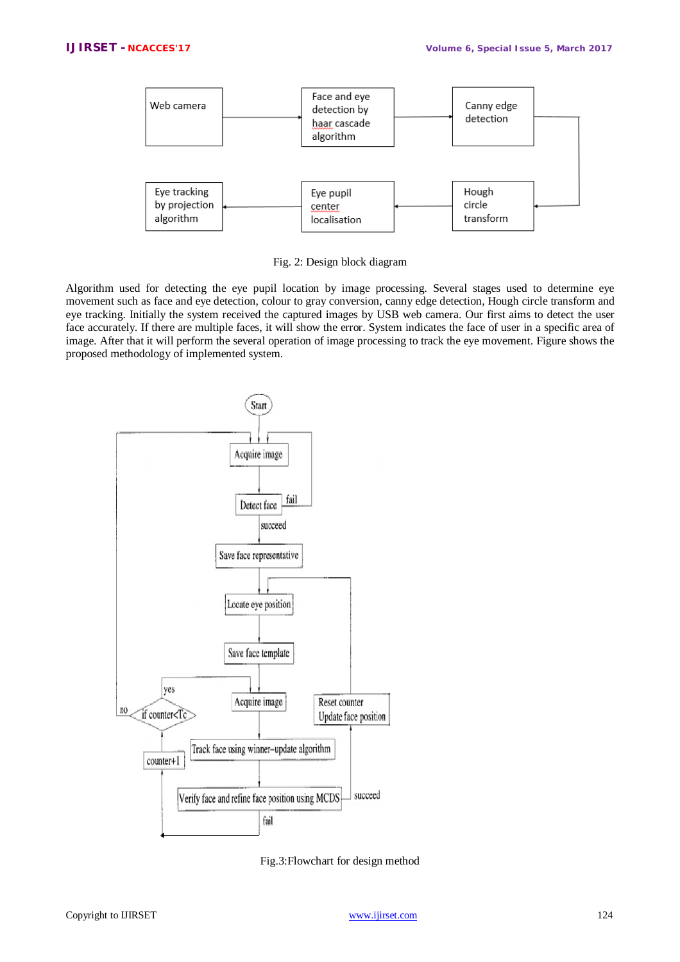

Fig. 2: Design block diagram

Algorithm used for detecting the eye pupil location by image processing. Several stages used to determine eye movement such as face and eye detection, colour to gray conversion, canny edge detection, Hough circle transform and eye tracking. Initially the system received the captured images by USB web camera. Our first aims to detect the user face accurately. If there are multiple faces, it will show the error. System indicates the face of user in a specific area of image. After that it will perform the several operation of image processing to track the eye movement. Figure shows the proposed methodology of implemented system.



Fig.3:Flowchart for design method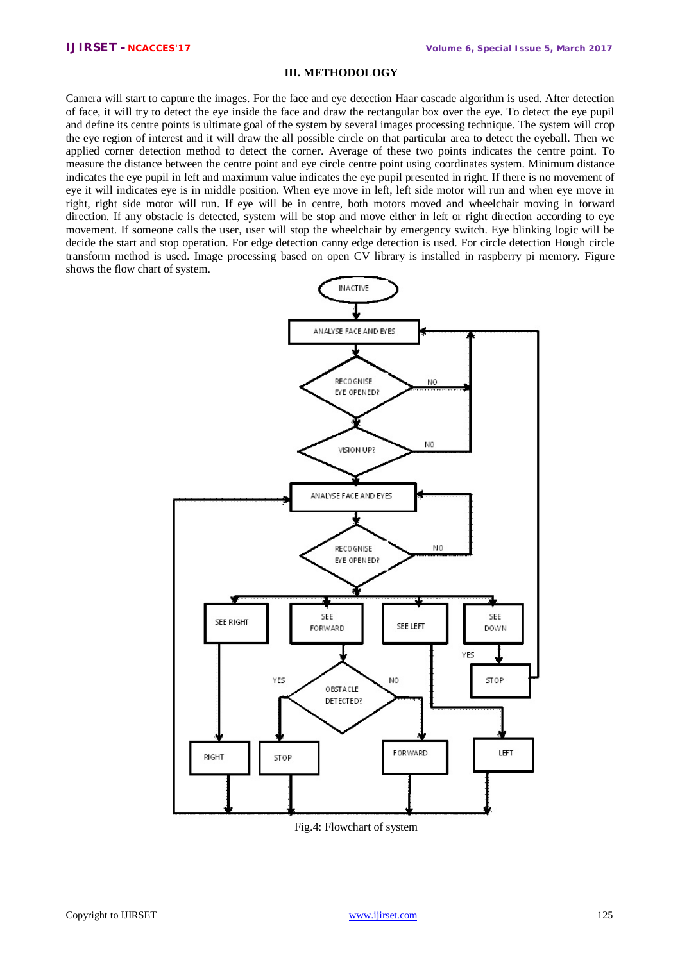## **III. METHODOLOGY**

Camera will start to capture the images. For the face and eye detection Haar cascade algorithm is used. After detection of face, it will try to detect the eye inside the face and draw the rectangular box over the eye. To detect the eye pupil and define its centre points is ultimate goal of the system by several images processing technique. The system will crop the eye region of interest and it will draw the all possible circle on that particular area to detect the eyeball. Then we applied corner detection method to detect the corner. Average of these two points indicates the centre point. To measure the distance between the centre point and eye circle centre point using coordinates system. Minimum distance indicates the eye pupil in left and maximum value indicates the eye pupil presented in right. If there is no movement of eye it will indicates eye is in middle position. When eye move in left, left side motor will run and when eye move in right, right side motor will run. If eye will be in centre, both motors moved and wheelchair moving in forward direction. If any obstacle is detected, system will be stop and move either in left or right direction according to eye movement. If someone calls the user, user will stop the wheelchair by emergency switch. Eye blinking logic will be decide the start and stop operation. For edge detection canny edge detection is used. For circle detection Hough circle transform method is used. Image processing based on open CV library is installed in raspberry pi memory. Figure shows the flow chart of system.



Fig.4: Flowchart of system